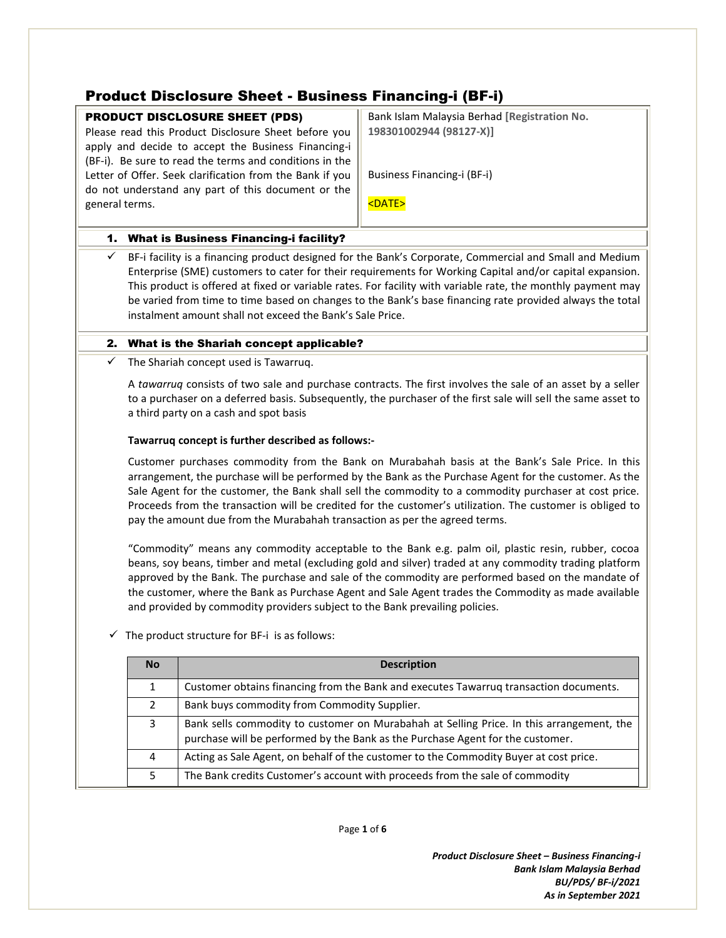# Product Disclosure Sheet - Business Financing-i (BF-i)

## PRODUCT DISCLOSURE SHEET (PDS)

Please read this Product Disclosure Sheet before you apply and decide to accept the Business Financing-i (BF-i). Be sure to read the terms and conditions in the Letter of Offer. Seek clarification from the Bank if you do not understand any part of this document or the general terms.

Bank Islam Malaysia Berhad **[Registration No. 198301002944 (98127-X)]**

Business Financing-i (BF-i)

<DATE>

## 1. What is Business Financing-i facility?

 $\checkmark$  BF-i facility is a financing product designed for the Bank's Corporate, Commercial and Small and Medium Enterprise (SME) customers to cater for their requirements for Working Capital and/or capital expansion. This product is offered at fixed or variable rates. For facility with variable rate, th*e* monthly payment may be varied from time to time based on changes to the Bank's base financing rate provided always the total instalment amount shall not exceed the Bank's Sale Price.

## 2. What is the Shariah concept applicable?

 $\checkmark$  The Shariah concept used is Tawarruq.

A *tawarruq* consists of two sale and purchase contracts. The first involves the sale of an asset by a seller to a purchaser on a deferred basis. Subsequently, the purchaser of the first sale will sell the same asset to a third party on a cash and spot basis

## **Tawarruq concept is further described as follows:-**

Customer purchases commodity from the Bank on Murabahah basis at the Bank's Sale Price. In this arrangement, the purchase will be performed by the Bank as the Purchase Agent for the customer. As the Sale Agent for the customer, the Bank shall sell the commodity to a commodity purchaser at cost price. Proceeds from the transaction will be credited for the customer's utilization. The customer is obliged to pay the amount due from the Murabahah transaction as per the agreed terms.

"Commodity" means any commodity acceptable to the Bank e.g. palm oil, plastic resin, rubber, cocoa beans, soy beans, timber and metal (excluding gold and silver) traded at any commodity trading platform approved by the Bank. The purchase and sale of the commodity are performed based on the mandate of the customer, where the Bank as Purchase Agent and Sale Agent trades the Commodity as made available and provided by commodity providers subject to the Bank prevailing policies.

 $\checkmark$  The product structure for BF-i is as follows:

| <b>No</b>      | <b>Description</b>                                                                                                                                                         |  |
|----------------|----------------------------------------------------------------------------------------------------------------------------------------------------------------------------|--|
|                | Customer obtains financing from the Bank and executes Tawarruq transaction documents.                                                                                      |  |
| $\overline{2}$ | Bank buys commodity from Commodity Supplier.                                                                                                                               |  |
| 3              | Bank sells commodity to customer on Murabahah at Selling Price. In this arrangement, the<br>purchase will be performed by the Bank as the Purchase Agent for the customer. |  |
| 4              | Acting as Sale Agent, on behalf of the customer to the Commodity Buyer at cost price.                                                                                      |  |
|                | The Bank credits Customer's account with proceeds from the sale of commodity                                                                                               |  |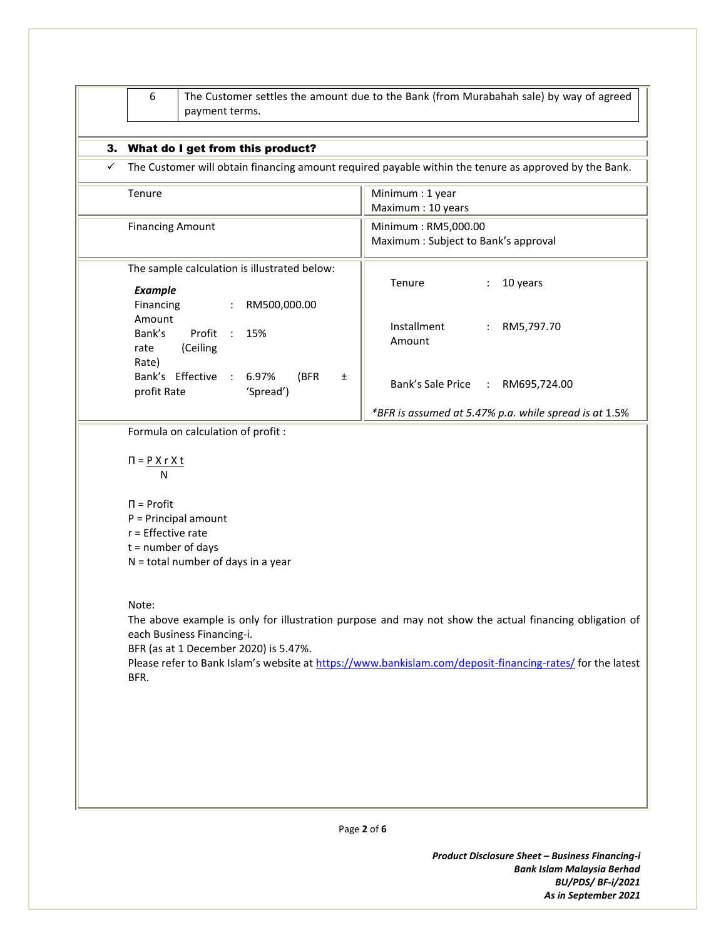| Tenure                                                                                                                                | Minimum: 1 year                                                                                                                                                                                                     |  |  |  |
|---------------------------------------------------------------------------------------------------------------------------------------|---------------------------------------------------------------------------------------------------------------------------------------------------------------------------------------------------------------------|--|--|--|
|                                                                                                                                       | Maximum: 10 years                                                                                                                                                                                                   |  |  |  |
| <b>Financing Amount</b>                                                                                                               | Minimum: RM5,000.00<br>Maximum : Subject to Bank's approval                                                                                                                                                         |  |  |  |
| The sample calculation is illustrated below:<br><b>Example</b>                                                                        | Tenure<br>10 years<br>$\ddot{\cdot}$                                                                                                                                                                                |  |  |  |
| Financing<br>RM500,000.00<br>$\mathbb{Z}^n$<br>Amount<br>Bank's<br>Profit :<br>15%<br>(Ceiling<br>rate                                | Installment<br>RM5,797.70<br>Amount                                                                                                                                                                                 |  |  |  |
| Rate)<br>Bank's Effective<br>6.97%<br>(BFR<br>$\sim 100$<br>Ŧ.<br>profit Rate<br>'Spread')                                            | Bank's Sale Price : RM695,724.00                                                                                                                                                                                    |  |  |  |
|                                                                                                                                       | *BFR is assumed at 5.47% p.a. while spread is at 1.5%                                                                                                                                                               |  |  |  |
| N<br>$\Pi$ = Profit<br>$P = Principal amount$<br>$r =$ Effective rate<br>$t =$ number of days<br>$N =$ total number of days in a year |                                                                                                                                                                                                                     |  |  |  |
| Note:<br>each Business Financing-i.<br>BFR (as at 1 December 2020) is 5.47%.<br>BFR.                                                  | The above example is only for illustration purpose and may not show the actual financing obligation of<br>Please refer to Bank Islam's website at https://www.bankislam.com/deposit-financing-rates/ for the latest |  |  |  |

Page **2** of **6**

*Product Disclosure Sheet – Business Financing-i Bank Islam Malaysia Berhad BU/PDS/ BF-i/2021 As in September 2021*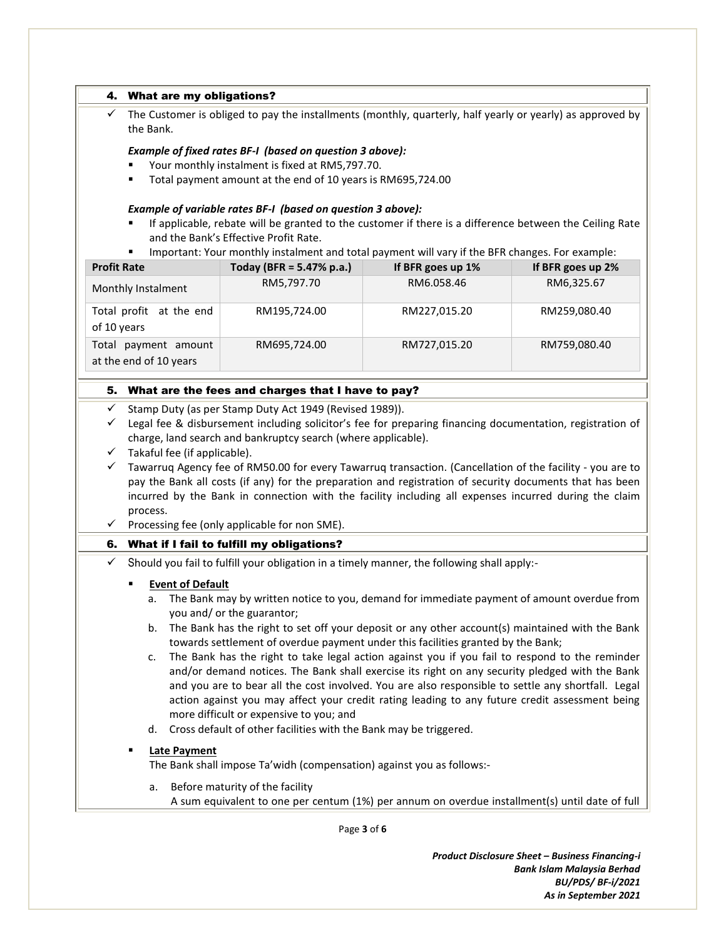|                    | 4. What are my obligations?                                                                                                 |                                                                                                                                                                                     |                                 |                   |  |  |  |
|--------------------|-----------------------------------------------------------------------------------------------------------------------------|-------------------------------------------------------------------------------------------------------------------------------------------------------------------------------------|---------------------------------|-------------------|--|--|--|
| ✓                  | The Customer is obliged to pay the installments (monthly, quarterly, half yearly or yearly) as approved by<br>the Bank.     |                                                                                                                                                                                     |                                 |                   |  |  |  |
|                    | Example of fixed rates BF-I (based on question 3 above):                                                                    |                                                                                                                                                                                     |                                 |                   |  |  |  |
|                    | Your monthly instalment is fixed at RM5,797.70.                                                                             |                                                                                                                                                                                     |                                 |                   |  |  |  |
|                    | Total payment amount at the end of 10 years is RM695,724.00                                                                 |                                                                                                                                                                                     |                                 |                   |  |  |  |
|                    |                                                                                                                             |                                                                                                                                                                                     |                                 |                   |  |  |  |
|                    |                                                                                                                             | Example of variable rates BF-I (based on question 3 above):                                                                                                                         |                                 |                   |  |  |  |
|                    |                                                                                                                             | If applicable, rebate will be granted to the customer if there is a difference between the Ceiling Rate                                                                             |                                 |                   |  |  |  |
|                    |                                                                                                                             | and the Bank's Effective Profit Rate.                                                                                                                                               |                                 |                   |  |  |  |
| <b>Profit Rate</b> | ٠                                                                                                                           | Important: Your monthly instalment and total payment will vary if the BFR changes. For example:                                                                                     |                                 |                   |  |  |  |
|                    |                                                                                                                             | Today (BFR = $5.47%$ p.a.)                                                                                                                                                          | If BFR goes up 1%<br>RM6.058.46 | If BFR goes up 2% |  |  |  |
|                    | Monthly Instalment                                                                                                          | RM5,797.70                                                                                                                                                                          |                                 | RM6,325.67        |  |  |  |
|                    | Total profit at the end                                                                                                     | RM195,724.00                                                                                                                                                                        | RM227,015.20                    | RM259,080.40      |  |  |  |
| of 10 years        |                                                                                                                             |                                                                                                                                                                                     |                                 |                   |  |  |  |
|                    | Total payment amount                                                                                                        | RM695,724.00                                                                                                                                                                        | RM727,015.20                    | RM759,080.40      |  |  |  |
|                    | at the end of 10 years                                                                                                      |                                                                                                                                                                                     |                                 |                   |  |  |  |
|                    |                                                                                                                             |                                                                                                                                                                                     |                                 |                   |  |  |  |
|                    |                                                                                                                             | 5. What are the fees and charges that I have to pay?                                                                                                                                |                                 |                   |  |  |  |
| $\checkmark$       |                                                                                                                             | Stamp Duty (as per Stamp Duty Act 1949 (Revised 1989)).                                                                                                                             |                                 |                   |  |  |  |
| ✓                  |                                                                                                                             | Legal fee & disbursement including solicitor's fee for preparing financing documentation, registration of                                                                           |                                 |                   |  |  |  |
|                    |                                                                                                                             | charge, land search and bankruptcy search (where applicable).                                                                                                                       |                                 |                   |  |  |  |
| $\checkmark$       | Takaful fee (if applicable).                                                                                                |                                                                                                                                                                                     |                                 |                   |  |  |  |
| $\checkmark$       |                                                                                                                             | Tawarruq Agency fee of RM50.00 for every Tawarruq transaction. (Cancellation of the facility - you are to                                                                           |                                 |                   |  |  |  |
|                    |                                                                                                                             | pay the Bank all costs (if any) for the preparation and registration of security documents that has been                                                                            |                                 |                   |  |  |  |
|                    |                                                                                                                             | incurred by the Bank in connection with the facility including all expenses incurred during the claim                                                                               |                                 |                   |  |  |  |
|                    | process.                                                                                                                    |                                                                                                                                                                                     |                                 |                   |  |  |  |
|                    |                                                                                                                             | Processing fee (only applicable for non SME).                                                                                                                                       |                                 |                   |  |  |  |
|                    |                                                                                                                             | 6. What if I fail to fulfill my obligations?                                                                                                                                        |                                 |                   |  |  |  |
| ✓                  |                                                                                                                             | Should you fail to fulfill your obligation in a timely manner, the following shall apply:-                                                                                          |                                 |                   |  |  |  |
|                    | <b>Event of Default</b>                                                                                                     |                                                                                                                                                                                     |                                 |                   |  |  |  |
|                    |                                                                                                                             |                                                                                                                                                                                     |                                 |                   |  |  |  |
|                    | a. The Bank may by written notice to you, demand for immediate payment of amount overdue from<br>you and/ or the guarantor; |                                                                                                                                                                                     |                                 |                   |  |  |  |
|                    | b.                                                                                                                          |                                                                                                                                                                                     |                                 |                   |  |  |  |
|                    |                                                                                                                             |                                                                                                                                                                                     |                                 |                   |  |  |  |
|                    |                                                                                                                             | The Bank has the right to set off your deposit or any other account(s) maintained with the Bank<br>towards settlement of overdue payment under this facilities granted by the Bank; |                                 |                   |  |  |  |
|                    | c.                                                                                                                          | The Bank has the right to take legal action against you if you fail to respond to the reminder                                                                                      |                                 |                   |  |  |  |
|                    |                                                                                                                             | and/or demand notices. The Bank shall exercise its right on any security pledged with the Bank                                                                                      |                                 |                   |  |  |  |
|                    |                                                                                                                             | and you are to bear all the cost involved. You are also responsible to settle any shortfall. Legal                                                                                  |                                 |                   |  |  |  |
|                    |                                                                                                                             | action against you may affect your credit rating leading to any future credit assessment being                                                                                      |                                 |                   |  |  |  |
|                    |                                                                                                                             | more difficult or expensive to you; and                                                                                                                                             |                                 |                   |  |  |  |
|                    | d.                                                                                                                          | Cross default of other facilities with the Bank may be triggered.                                                                                                                   |                                 |                   |  |  |  |
|                    | <b>Late Payment</b>                                                                                                         |                                                                                                                                                                                     |                                 |                   |  |  |  |
|                    |                                                                                                                             | The Bank shall impose Ta'widh (compensation) against you as follows:-                                                                                                               |                                 |                   |  |  |  |
|                    | a.                                                                                                                          | Before maturity of the facility                                                                                                                                                     |                                 |                   |  |  |  |

Page **3** of **6**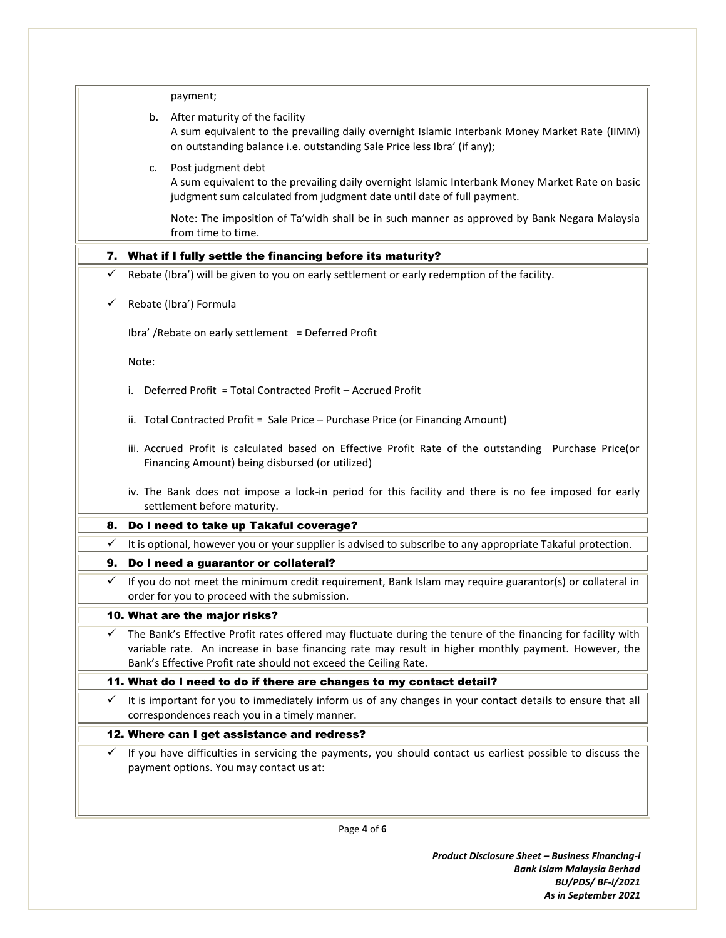|    | payment;                                                                                                                                                                                                                                                                                 |  |  |
|----|------------------------------------------------------------------------------------------------------------------------------------------------------------------------------------------------------------------------------------------------------------------------------------------|--|--|
|    | b. After maturity of the facility<br>A sum equivalent to the prevailing daily overnight Islamic Interbank Money Market Rate (IIMM)<br>on outstanding balance i.e. outstanding Sale Price less Ibra' (if any);                                                                            |  |  |
|    | Post judgment debt<br>c.<br>A sum equivalent to the prevailing daily overnight Islamic Interbank Money Market Rate on basic<br>judgment sum calculated from judgment date until date of full payment.                                                                                    |  |  |
|    | Note: The imposition of Ta'widh shall be in such manner as approved by Bank Negara Malaysia<br>from time to time.                                                                                                                                                                        |  |  |
| 7. | What if I fully settle the financing before its maturity?                                                                                                                                                                                                                                |  |  |
| ✓  | Rebate (Ibra') will be given to you on early settlement or early redemption of the facility.                                                                                                                                                                                             |  |  |
| ✓  | Rebate (Ibra') Formula                                                                                                                                                                                                                                                                   |  |  |
|    | Ibra' / Rebate on early settlement = Deferred Profit                                                                                                                                                                                                                                     |  |  |
|    | Note:                                                                                                                                                                                                                                                                                    |  |  |
|    | Deferred Profit = Total Contracted Profit - Accrued Profit<br>i.                                                                                                                                                                                                                         |  |  |
|    | ii. Total Contracted Profit = Sale Price - Purchase Price (or Financing Amount)                                                                                                                                                                                                          |  |  |
|    | iii. Accrued Profit is calculated based on Effective Profit Rate of the outstanding Purchase Price(or<br>Financing Amount) being disbursed (or utilized)                                                                                                                                 |  |  |
|    | iv. The Bank does not impose a lock-in period for this facility and there is no fee imposed for early<br>settlement before maturity.                                                                                                                                                     |  |  |
| 8. | Do I need to take up Takaful coverage?                                                                                                                                                                                                                                                   |  |  |
| ✓  | It is optional, however you or your supplier is advised to subscribe to any appropriate Takaful protection.                                                                                                                                                                              |  |  |
| 9. | Do I need a guarantor or collateral?                                                                                                                                                                                                                                                     |  |  |
| ✓  | If you do not meet the minimum credit requirement, Bank Islam may require guarantor(s) or collateral in<br>order for you to proceed with the submission.                                                                                                                                 |  |  |
|    | 10. What are the major risks?                                                                                                                                                                                                                                                            |  |  |
| ✓  | The Bank's Effective Profit rates offered may fluctuate during the tenure of the financing for facility with<br>variable rate. An increase in base financing rate may result in higher monthly payment. However, the<br>Bank's Effective Profit rate should not exceed the Ceiling Rate. |  |  |
|    | 11. What do I need to do if there are changes to my contact detail?                                                                                                                                                                                                                      |  |  |
| ✓  | It is important for you to immediately inform us of any changes in your contact details to ensure that all<br>correspondences reach you in a timely manner.                                                                                                                              |  |  |
|    | 12. Where can I get assistance and redress?                                                                                                                                                                                                                                              |  |  |
| ✓  | If you have difficulties in servicing the payments, you should contact us earliest possible to discuss the<br>payment options. You may contact us at:                                                                                                                                    |  |  |
|    |                                                                                                                                                                                                                                                                                          |  |  |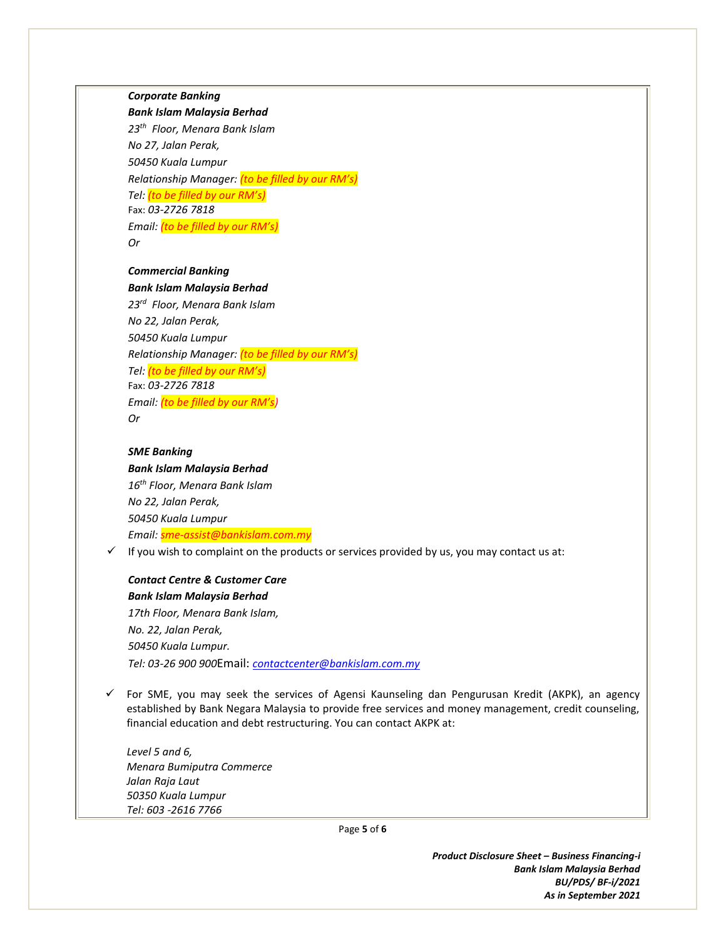*Corporate Banking*

#### *Bank Islam Malaysia Berhad*

*23th Floor, Menara Bank Islam No 27, Jalan Perak, 50450 Kuala Lumpur Relationship Manager: (to be filled by our RM's) Tel: (to be filled by our RM's)* Fax: *03-2726 7818 Email: (to be filled by our RM's) Or*

#### *Commercial Banking Bank Islam Malaysia Berhad*

*23rd Floor, Menara Bank Islam No 22, Jalan Perak, 50450 Kuala Lumpur Relationship Manager: (to be filled by our RM's) Tel: (to be filled by our RM's)* Fax: *03-2726 7818 Email: (to be filled by our RM's) Or* 

#### *SME Banking*

*Bank Islam Malaysia Berhad 16th Floor, Menara Bank Islam No 22, Jalan Perak, 50450 Kuala Lumpur Email: sme-assist@bankislam.com.my*

 $\checkmark$  If you wish to complaint on the products or services provided by us, you may contact us at:

## *Contact Centre & Customer Care Bank Islam Malaysia Berhad*

*17th Floor, Menara Bank Islam, No. 22, Jalan Perak, 50450 Kuala Lumpur. Tel: 03-26 900 900*Email: *[contactcenter@bankislam.com.my](mailto:contactcenter@bankislam.com.my)*

 $\checkmark$  For SME, you may seek the services of Agensi Kaunseling dan Pengurusan Kredit (AKPK), an agency established by Bank Negara Malaysia to provide free services and money management, credit counseling, financial education and debt restructuring. You can contact AKPK at:

*Level 5 and 6, Menara Bumiputra Commerce Jalan Raja Laut 50350 Kuala Lumpur Tel: 603 -2616 7766*

Page **5** of **6**

*Product Disclosure Sheet – Business Financing-i Bank Islam Malaysia Berhad BU/PDS/ BF-i/2021 As in September 2021*